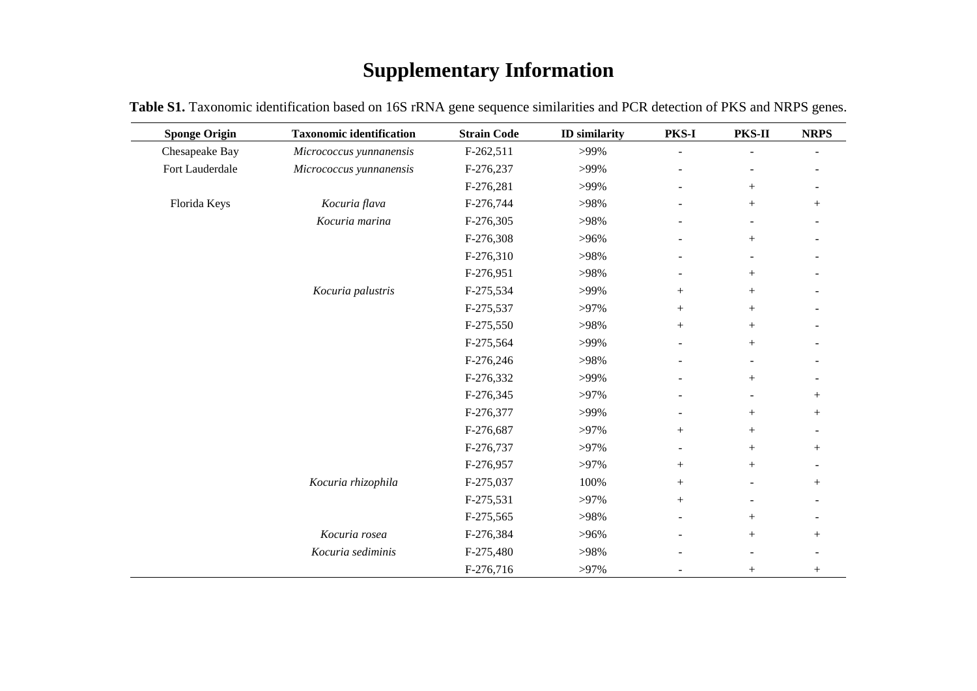## **Supplementary Information**

| <b>Sponge Origin</b> | <b>Taxonomic identification</b> | <b>Strain Code</b> | <b>ID</b> similarity | <b>PKS-I</b>             | PKS-II                   | <b>NRPS</b>    |
|----------------------|---------------------------------|--------------------|----------------------|--------------------------|--------------------------|----------------|
| Chesapeake Bay       | Micrococcus yunnanensis         | F-262,511          | >99%                 |                          |                          |                |
| Fort Lauderdale      | Micrococcus yunnanensis         | F-276,237          | >99%                 |                          |                          |                |
|                      |                                 | F-276,281          | >99%                 | $\overline{\phantom{0}}$ | $^{+}$                   | $\blacksquare$ |
| Florida Keys         | Kocuria flava                   | F-276,744          | >98%                 |                          | $^{+}$                   | $^{+}$         |
|                      | Kocuria marina                  | F-276,305          | >98%                 |                          | $\overline{\phantom{0}}$ |                |
|                      |                                 | F-276,308          | $>96\%$              |                          | $^{+}$                   |                |
|                      |                                 | F-276,310          | >98%                 |                          |                          |                |
|                      |                                 | F-276,951          | >98%                 | ÷                        | $^{+}$                   |                |
|                      | Kocuria palustris               | F-275,534          | >99%                 | $^{+}$                   |                          |                |
|                      |                                 | F-275,537          | $>97\%$              | $^{+}$                   | $^{+}$                   |                |
|                      |                                 | F-275,550          | >98%                 | $^{+}$                   | $^{+}$                   |                |
|                      |                                 | F-275,564          | >99%                 |                          | $^{+}$                   |                |
|                      |                                 | F-276,246          | >98%                 |                          | ÷                        |                |
|                      |                                 | F-276,332          | >99%                 |                          | $^{+}$                   |                |
|                      |                                 | F-276,345          | $>97\%$              | $\overline{\phantom{a}}$ | $\overline{\phantom{0}}$ |                |
|                      |                                 | F-276,377          | >99%                 |                          | $^{+}$                   | $^{+}$         |
|                      |                                 | F-276,687          | $>97\%$              | $^{+}$                   | $^{+}$                   |                |
|                      |                                 | F-276,737          | $>97\%$              |                          | $^{+}$                   | $^{+}$         |
|                      |                                 | F-276,957          | $>97\%$              | $^{+}$                   | $^{+}$                   |                |
|                      | Kocuria rhizophila              | F-275,037          | 100%                 | $+$                      | ÷                        |                |
|                      |                                 | F-275,531          | $>97\%$              | $^{+}$                   |                          |                |
|                      |                                 | F-275,565          | >98%                 | $\overline{\phantom{0}}$ | $^{+}$                   |                |
|                      | Kocuria rosea                   | F-276,384          | $>96\%$              |                          |                          | $^{+}$         |
|                      | Kocuria sediminis               | F-275,480          | >98%                 |                          | $\blacksquare$           |                |
|                      |                                 | F-276,716          | $>97\%$              |                          | $^{+}$                   | $^{+}$         |

**Table S1.** Taxonomic identification based on 16S rRNA gene sequence similarities and PCR detection of PKS and NRPS genes.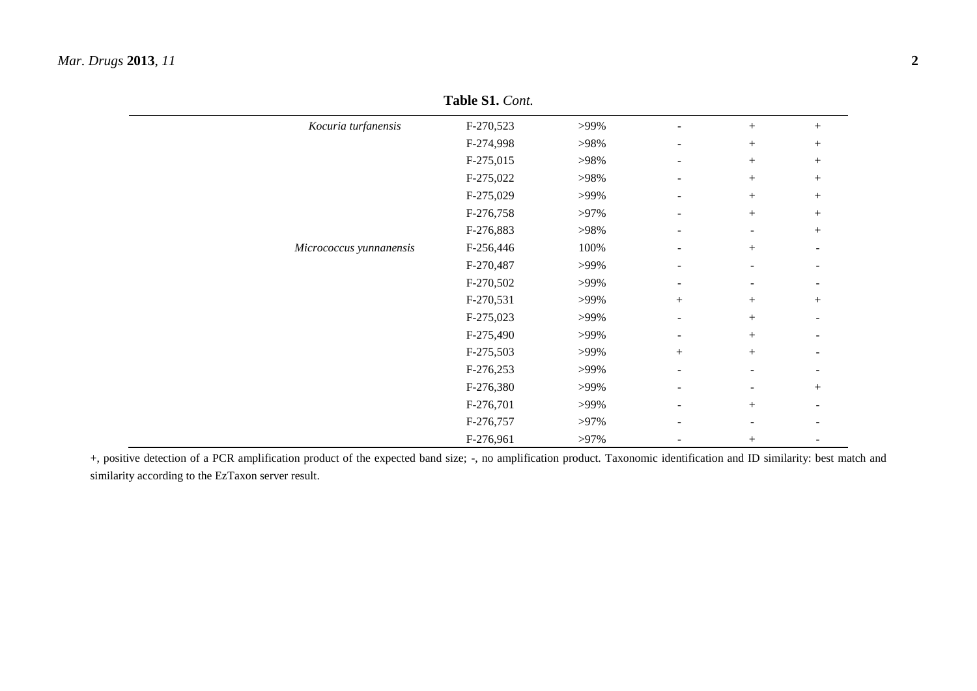| Kocuria turfanensis     | F-270,523 | $>99\%$ | ÷.                       |                          | $^{+}$                   |
|-------------------------|-----------|---------|--------------------------|--------------------------|--------------------------|
|                         | F-274,998 | >98%    | ٠                        | $\! + \!\!\!\!$          | $^{+}$                   |
|                         | F-275,015 | >98%    | -                        | $\! + \!\!\!\!$          | $^{+}$                   |
|                         | F-275,022 | >98%    | ۰                        | $\! + \!\!\!\!$          | $^{+}$                   |
|                         | F-275,029 | >99%    | ٠                        | $\! + \!\!\!\!$          | $^{+}$                   |
|                         | F-276,758 | $>97\%$ | $\overline{\phantom{0}}$ | $^{+}$                   | $^{+}$                   |
|                         | F-276,883 | >98%    | -                        | $\overline{\phantom{a}}$ | $^{+}$                   |
| Micrococcus yunnanensis | F-256,446 | 100%    | ۰                        | $^{+}$                   |                          |
|                         | F-270,487 | $>99\%$ | ٠                        | $\overline{\phantom{a}}$ |                          |
|                         | F-270,502 | $>99\%$ | $\overline{\phantom{0}}$ | $\overline{\phantom{a}}$ | $\overline{\phantom{a}}$ |
|                         | F-270,531 | $>99\%$ | $^{+}$                   | $\! + \!\!\!\!$          | $^{+}$                   |
|                         | F-275,023 | >99%    | ۰                        | $^{+}$                   | $\overline{\phantom{a}}$ |
|                         | F-275,490 | >99%    | ۰                        | $^{+}$                   | $\overline{\phantom{0}}$ |
|                         | F-275,503 | $>99\%$ | $^{+}$                   | $+$                      | $\overline{\phantom{a}}$ |
|                         | F-276,253 | $>99\%$ | $\overline{\phantom{0}}$ | $\overline{\phantom{a}}$ |                          |
|                         | F-276,380 | $>99\%$ | -                        | $\overline{\phantom{a}}$ | $^{+}$                   |
|                         | F-276,701 | $>99\%$ | ۰                        | $\! + \!\!\!\!$          |                          |
|                         | F-276,757 | $>97\%$ | -                        | $\overline{\phantom{0}}$ |                          |
|                         | F-276,961 | $>97\%$ | -                        | $^{+}$                   |                          |

**Table S1.** *Cont.*

+, positive detection of a PCR amplification product of the expected band size; -, no amplification product. Taxonomic identification and ID similarity: best match and similarity according to the EzTaxon server result.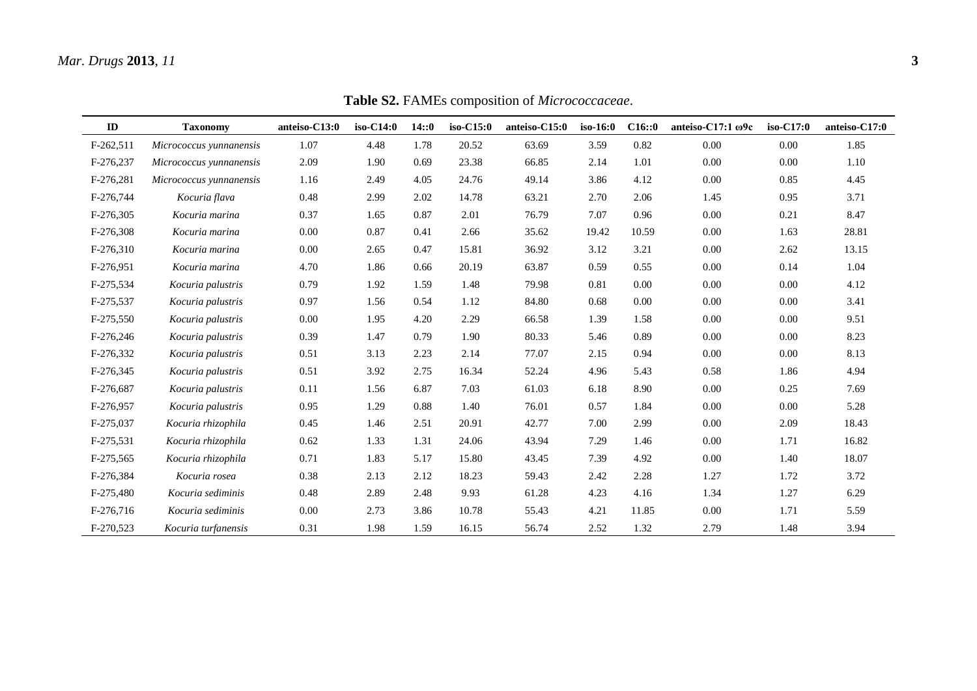| ID          | <b>Taxonomy</b>         | anteiso-C13:0 | iso-C14:0 | 14::0 | iso-C15:0 | anteiso-C15:0 | $iso-16:0$ | C16::0 | anteiso- $C17:1$ $\omega$ 9c | iso-C17:0 | anteiso-C17:0 |
|-------------|-------------------------|---------------|-----------|-------|-----------|---------------|------------|--------|------------------------------|-----------|---------------|
| $F-262,511$ | Micrococcus yunnanensis | 1.07          | 4.48      | 1.78  | 20.52     | 63.69         | 3.59       | 0.82   | 0.00                         | 0.00      | 1.85          |
| F-276,237   | Micrococcus yunnanensis | 2.09          | 1.90      | 0.69  | 23.38     | 66.85         | 2.14       | 1.01   | 0.00                         | 0.00      | 1.10          |
| F-276,281   | Micrococcus yunnanensis | 1.16          | 2.49      | 4.05  | 24.76     | 49.14         | 3.86       | 4.12   | 0.00                         | 0.85      | 4.45          |
| F-276,744   | Kocuria flava           | 0.48          | 2.99      | 2.02  | 14.78     | 63.21         | 2.70       | 2.06   | 1.45                         | 0.95      | 3.71          |
| F-276,305   | Kocuria marina          | 0.37          | 1.65      | 0.87  | 2.01      | 76.79         | 7.07       | 0.96   | 0.00                         | 0.21      | 8.47          |
| F-276,308   | Kocuria marina          | 0.00          | 0.87      | 0.41  | 2.66      | 35.62         | 19.42      | 10.59  | 0.00                         | 1.63      | 28.81         |
| F-276,310   | Kocuria marina          | 0.00          | 2.65      | 0.47  | 15.81     | 36.92         | 3.12       | 3.21   | 0.00                         | 2.62      | 13.15         |
| F-276,951   | Kocuria marina          | 4.70          | 1.86      | 0.66  | 20.19     | 63.87         | 0.59       | 0.55   | 0.00                         | 0.14      | 1.04          |
| F-275,534   | Kocuria palustris       | 0.79          | 1.92      | 1.59  | 1.48      | 79.98         | 0.81       | 0.00   | 0.00                         | 0.00      | 4.12          |
| F-275,537   | Kocuria palustris       | 0.97          | 1.56      | 0.54  | 1.12      | 84.80         | 0.68       | 0.00   | 0.00                         | 0.00      | 3.41          |
| F-275,550   | Kocuria palustris       | 0.00          | 1.95      | 4.20  | 2.29      | 66.58         | 1.39       | 1.58   | 0.00                         | 0.00      | 9.51          |
| F-276,246   | Kocuria palustris       | 0.39          | 1.47      | 0.79  | 1.90      | 80.33         | 5.46       | 0.89   | 0.00                         | 0.00      | 8.23          |
| F-276,332   | Kocuria palustris       | 0.51          | 3.13      | 2.23  | 2.14      | 77.07         | 2.15       | 0.94   | 0.00                         | 0.00      | 8.13          |
| F-276,345   | Kocuria palustris       | 0.51          | 3.92      | 2.75  | 16.34     | 52.24         | 4.96       | 5.43   | 0.58                         | 1.86      | 4.94          |
| F-276,687   | Kocuria palustris       | 0.11          | 1.56      | 6.87  | 7.03      | 61.03         | 6.18       | 8.90   | 0.00                         | 0.25      | 7.69          |
| F-276,957   | Kocuria palustris       | 0.95          | 1.29      | 0.88  | 1.40      | 76.01         | 0.57       | 1.84   | 0.00                         | 0.00      | 5.28          |
| F-275,037   | Kocuria rhizophila      | 0.45          | 1.46      | 2.51  | 20.91     | 42.77         | 7.00       | 2.99   | 0.00                         | 2.09      | 18.43         |
| F-275,531   | Kocuria rhizophila      | 0.62          | 1.33      | 1.31  | 24.06     | 43.94         | 7.29       | 1.46   | 0.00                         | 1.71      | 16.82         |
| F-275,565   | Kocuria rhizophila      | 0.71          | 1.83      | 5.17  | 15.80     | 43.45         | 7.39       | 4.92   | 0.00                         | 1.40      | 18.07         |
| F-276,384   | Kocuria rosea           | 0.38          | 2.13      | 2.12  | 18.23     | 59.43         | 2.42       | 2.28   | 1.27                         | 1.72      | 3.72          |
| F-275,480   | Kocuria sediminis       | 0.48          | 2.89      | 2.48  | 9.93      | 61.28         | 4.23       | 4.16   | 1.34                         | 1.27      | 6.29          |
| F-276,716   | Kocuria sediminis       | 0.00          | 2.73      | 3.86  | 10.78     | 55.43         | 4.21       | 11.85  | 0.00                         | 1.71      | 5.59          |
| F-270,523   | Kocuria turfanensis     | 0.31          | 1.98      | 1.59  | 16.15     | 56.74         | 2.52       | 1.32   | 2.79                         | 1.48      | 3.94          |

**Table S2.** FAMEs composition of *Micrococcaceae*.